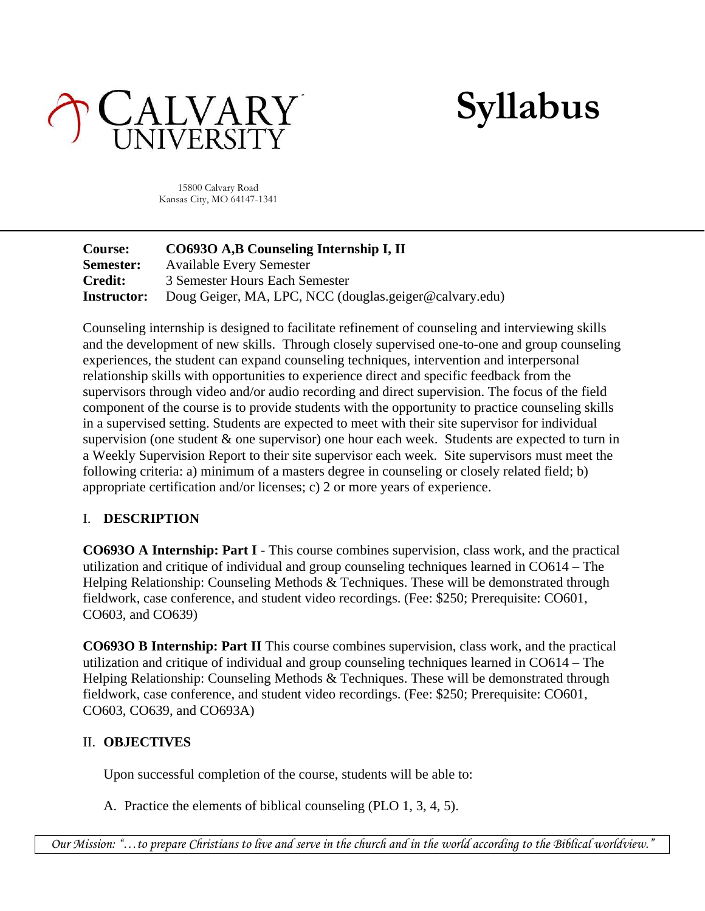

**Syllabus**

15800 Calvary Road Kansas City, MO 64147-1341

| <b>Course:</b>     | CO6930 A,B Counseling Internship I, II                 |
|--------------------|--------------------------------------------------------|
| Semester:          | <b>Available Every Semester</b>                        |
| <b>Credit:</b>     | 3 Semester Hours Each Semester                         |
| <b>Instructor:</b> | Doug Geiger, MA, LPC, NCC (douglas.geiger@calvary.edu) |

Counseling internship is designed to facilitate refinement of counseling and interviewing skills and the development of new skills. Through closely supervised one-to-one and group counseling experiences, the student can expand counseling techniques, intervention and interpersonal relationship skills with opportunities to experience direct and specific feedback from the supervisors through video and/or audio recording and direct supervision. The focus of the field component of the course is to provide students with the opportunity to practice counseling skills in a supervised setting. Students are expected to meet with their site supervisor for individual supervision (one student  $\&$  one supervisor) one hour each week. Students are expected to turn in a Weekly Supervision Report to their site supervisor each week. Site supervisors must meet the following criteria: a) minimum of a masters degree in counseling or closely related field; b) appropriate certification and/or licenses; c) 2 or more years of experience.

## I. **DESCRIPTION**

**CO693O A Internship: Part I** - This course combines supervision, class work, and the practical utilization and critique of individual and group counseling techniques learned in CO614 – The Helping Relationship: Counseling Methods & Techniques. These will be demonstrated through fieldwork, case conference, and student video recordings. (Fee: \$250; Prerequisite: CO601, CO603, and CO639)

**CO693O B Internship: Part II** This course combines supervision, class work, and the practical utilization and critique of individual and group counseling techniques learned in CO614 – The Helping Relationship: Counseling Methods & Techniques. These will be demonstrated through fieldwork, case conference, and student video recordings. (Fee: \$250; Prerequisite: CO601, CO603, CO639, and CO693A)

## II. **OBJECTIVES**

Upon successful completion of the course, students will be able to:

A. Practice the elements of biblical counseling (PLO 1, 3, 4, 5).

*Our Mission: "…to prepare Christians to live and serve in the church and in the world according to the Biblical worldview."*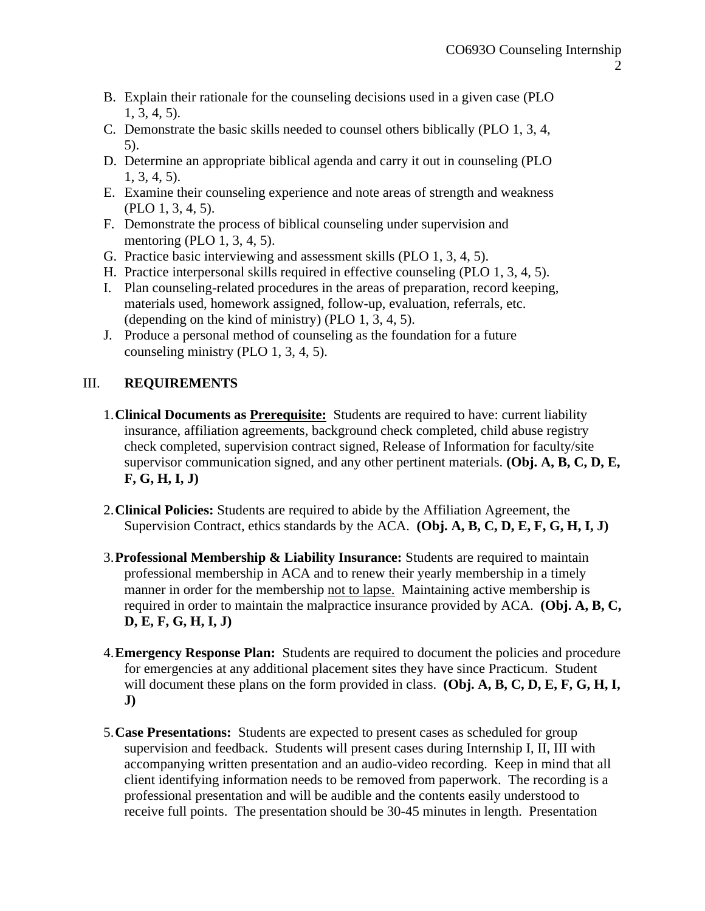- B. Explain their rationale for the counseling decisions used in a given case (PLO 1, 3, 4, 5).
- C. Demonstrate the basic skills needed to counsel others biblically (PLO 1, 3, 4, 5).
- D. Determine an appropriate biblical agenda and carry it out in counseling (PLO 1, 3, 4, 5).
- E. Examine their counseling experience and note areas of strength and weakness (PLO 1, 3, 4, 5).
- F. Demonstrate the process of biblical counseling under supervision and mentoring (PLO 1, 3, 4, 5).
- G. Practice basic interviewing and assessment skills (PLO 1, 3, 4, 5).
- H. Practice interpersonal skills required in effective counseling (PLO 1, 3, 4, 5).
- I. Plan counseling-related procedures in the areas of preparation, record keeping, materials used, homework assigned, follow-up, evaluation, referrals, etc. (depending on the kind of ministry) (PLO 1, 3, 4, 5).
- J. Produce a personal method of counseling as the foundation for a future counseling ministry (PLO 1, 3, 4, 5).

## III. **REQUIREMENTS**

- 1.**Clinical Documents as Prerequisite:** Students are required to have: current liability insurance, affiliation agreements, background check completed, child abuse registry check completed, supervision contract signed, Release of Information for faculty/site supervisor communication signed, and any other pertinent materials. **(Obj. A, B, C, D, E, F, G, H, I, J)**
- 2.**Clinical Policies:** Students are required to abide by the Affiliation Agreement, the Supervision Contract, ethics standards by the ACA. **(Obj. A, B, C, D, E, F, G, H, I, J)**
- 3.**Professional Membership & Liability Insurance:** Students are required to maintain professional membership in ACA and to renew their yearly membership in a timely manner in order for the membership not to lapse. Maintaining active membership is required in order to maintain the malpractice insurance provided by ACA. **(Obj. A, B, C, D, E, F, G, H, I, J)**
- 4.**Emergency Response Plan:** Students are required to document the policies and procedure for emergencies at any additional placement sites they have since Practicum. Student will document these plans on the form provided in class. **(Obj. A, B, C, D, E, F, G, H, I, J)**
- 5.**Case Presentations:** Students are expected to present cases as scheduled for group supervision and feedback. Students will present cases during Internship I, II, III with accompanying written presentation and an audio-video recording. Keep in mind that all client identifying information needs to be removed from paperwork. The recording is a professional presentation and will be audible and the contents easily understood to receive full points. The presentation should be 30-45 minutes in length. Presentation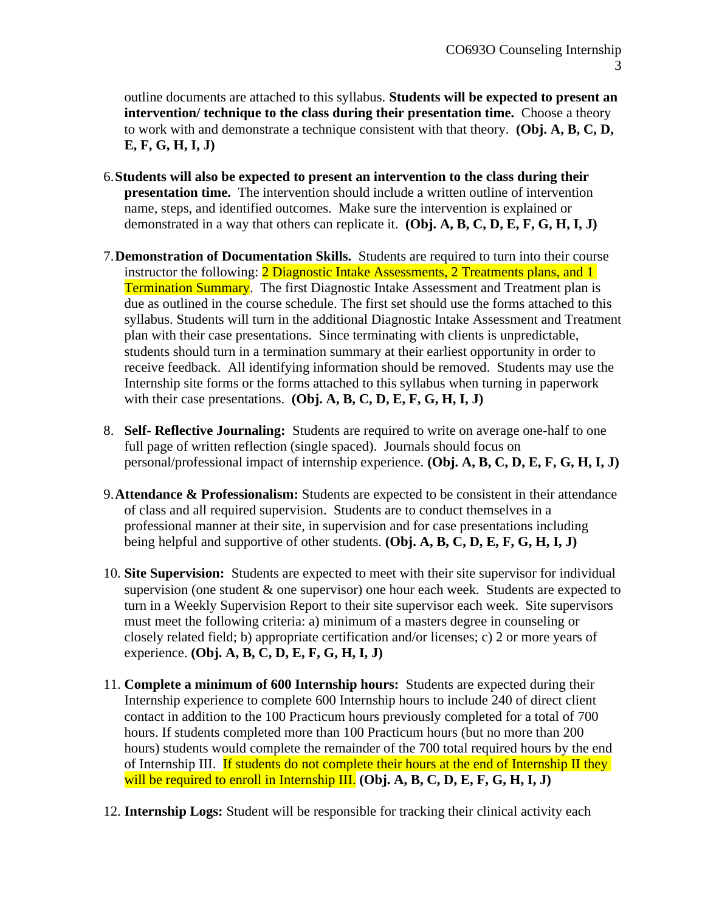outline documents are attached to this syllabus. **Students will be expected to present an intervention/ technique to the class during their presentation time.** Choose a theory to work with and demonstrate a technique consistent with that theory. **(Obj. A, B, C, D, E, F, G, H, I, J)**

- 6.**Students will also be expected to present an intervention to the class during their presentation time.** The intervention should include a written outline of intervention name, steps, and identified outcomes. Make sure the intervention is explained or demonstrated in a way that others can replicate it. **(Obj. A, B, C, D, E, F, G, H, I, J)**
- 7.**Demonstration of Documentation Skills.** Students are required to turn into their course instructor the following: 2 Diagnostic Intake Assessments, 2 Treatments plans, and 1 **Termination Summary.** The first Diagnostic Intake Assessment and Treatment plan is due as outlined in the course schedule. The first set should use the forms attached to this syllabus. Students will turn in the additional Diagnostic Intake Assessment and Treatment plan with their case presentations. Since terminating with clients is unpredictable, students should turn in a termination summary at their earliest opportunity in order to receive feedback. All identifying information should be removed. Students may use the Internship site forms or the forms attached to this syllabus when turning in paperwork with their case presentations. **(Obj. A, B, C, D, E, F, G, H, I, J)**
- 8. **Self- Reflective Journaling:** Students are required to write on average one-half to one full page of written reflection (single spaced). Journals should focus on personal/professional impact of internship experience. **(Obj. A, B, C, D, E, F, G, H, I, J)**
- 9.**Attendance & Professionalism:** Students are expected to be consistent in their attendance of class and all required supervision. Students are to conduct themselves in a professional manner at their site, in supervision and for case presentations including being helpful and supportive of other students. **(Obj. A, B, C, D, E, F, G, H, I, J)**
- 10. **Site Supervision:** Students are expected to meet with their site supervisor for individual supervision (one student & one supervisor) one hour each week. Students are expected to turn in a Weekly Supervision Report to their site supervisor each week. Site supervisors must meet the following criteria: a) minimum of a masters degree in counseling or closely related field; b) appropriate certification and/or licenses; c) 2 or more years of experience. **(Obj. A, B, C, D, E, F, G, H, I, J)**
- 11. **Complete a minimum of 600 Internship hours:** Students are expected during their Internship experience to complete 600 Internship hours to include 240 of direct client contact in addition to the 100 Practicum hours previously completed for a total of 700 hours. If students completed more than 100 Practicum hours (but no more than 200 hours) students would complete the remainder of the 700 total required hours by the end of Internship III. If students do not complete their hours at the end of Internship II they will be required to enroll in Internship III. **(Obj. A, B, C, D, E, F, G, H, I, J)**
- 12. **Internship Logs:** Student will be responsible for tracking their clinical activity each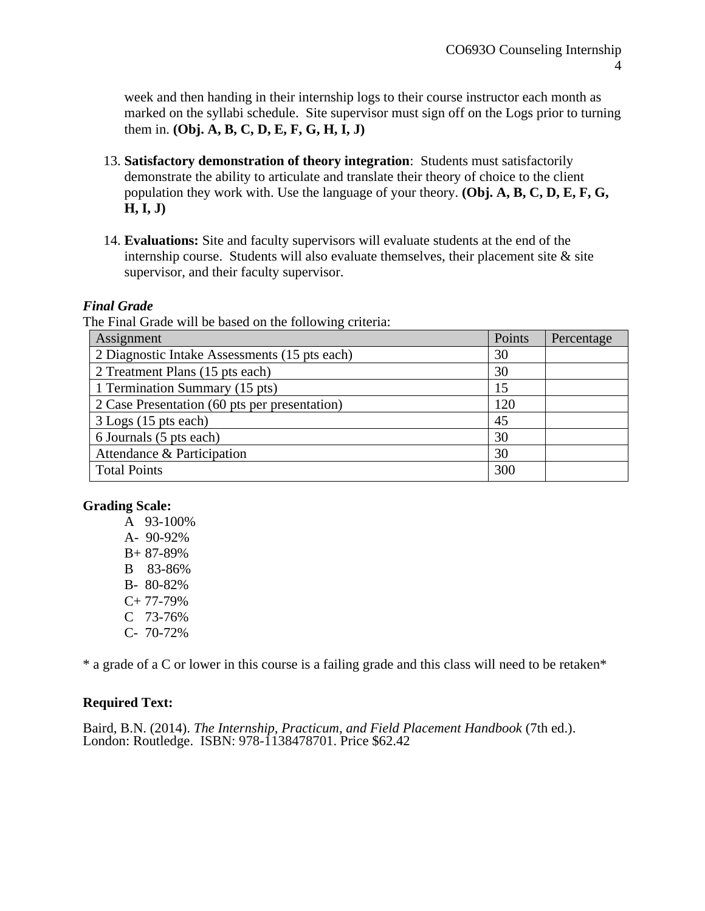week and then handing in their internship logs to their course instructor each month as marked on the syllabi schedule. Site supervisor must sign off on the Logs prior to turning them in. **(Obj. A, B, C, D, E, F, G, H, I, J)**

- 13. **Satisfactory demonstration of theory integration**: Students must satisfactorily demonstrate the ability to articulate and translate their theory of choice to the client population they work with. Use the language of your theory. **(Obj. A, B, C, D, E, F, G, H, I, J)**
- 14. **Evaluations:** Site and faculty supervisors will evaluate students at the end of the internship course. Students will also evaluate themselves, their placement site  $\&$  site supervisor, and their faculty supervisor.

#### *Final Grade*

The Final Grade will be based on the following criteria:

| Assignment                                    | Points | Percentage |
|-----------------------------------------------|--------|------------|
| 2 Diagnostic Intake Assessments (15 pts each) | 30     |            |
| 2 Treatment Plans (15 pts each)               | 30     |            |
| 1 Termination Summary (15 pts)                | 15     |            |
| 2 Case Presentation (60 pts per presentation) | 120    |            |
| 3 Logs (15 pts each)                          | 45     |            |
| 6 Journals (5 pts each)                       | 30     |            |
| Attendance & Participation                    | 30     |            |
| <b>Total Points</b>                           | 300    |            |

#### **Grading Scale:**

A 93-100% A- 90-92% B+ 87-89% B 83-86% B- 80-82%  $C+ 77-79%$ C 73-76% C- 70-72%

\* a grade of a C or lower in this course is a failing grade and this class will need to be retaken\*

#### **Required Text:**

Baird, B.N. (2014). *The Internship, Practicum, and Field Placement Handbook* (7th ed.). London: Routledge. ISBN: 978-1138478701. Price \$62.42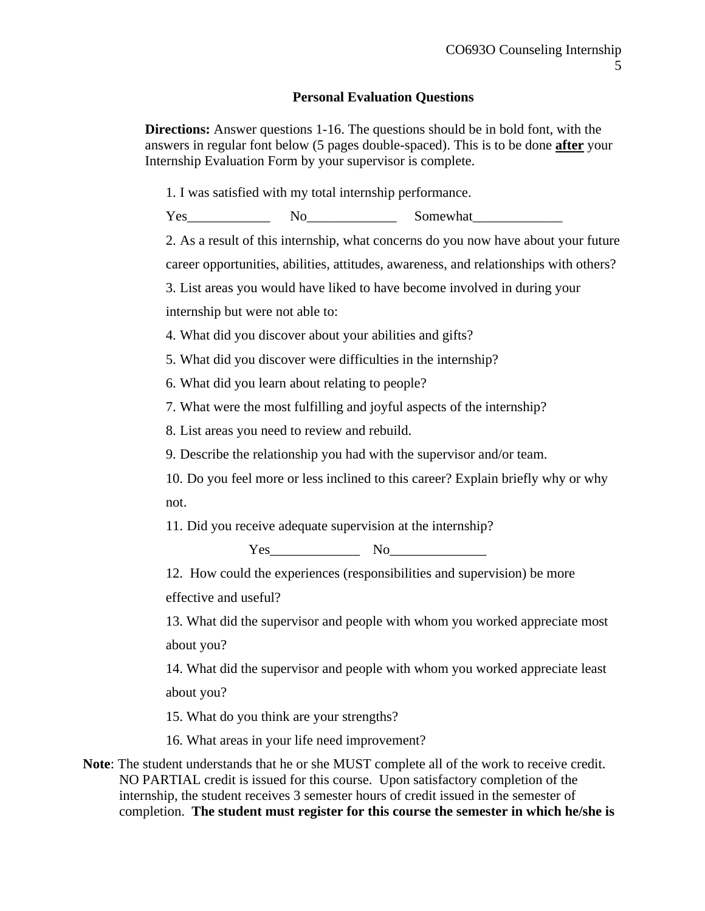#### **Personal Evaluation Questions**

**Directions:** Answer questions 1-16. The questions should be in bold font, with the answers in regular font below (5 pages double-spaced). This is to be done **after** your Internship Evaluation Form by your supervisor is complete.

1. I was satisfied with my total internship performance.

Yes No No Somewhat

2. As a result of this internship, what concerns do you now have about your future career opportunities, abilities, attitudes, awareness, and relationships with others?

3. List areas you would have liked to have become involved in during your

internship but were not able to:

4. What did you discover about your abilities and gifts?

5. What did you discover were difficulties in the internship?

6. What did you learn about relating to people?

7. What were the most fulfilling and joyful aspects of the internship?

8. List areas you need to review and rebuild.

9. Describe the relationship you had with the supervisor and/or team.

10. Do you feel more or less inclined to this career? Explain briefly why or why not.

11. Did you receive adequate supervision at the internship?

Yes\_\_\_\_\_\_\_\_\_\_\_\_\_ No\_\_\_\_\_\_\_\_\_\_\_\_\_\_

12. How could the experiences (responsibilities and supervision) be more effective and useful?

13. What did the supervisor and people with whom you worked appreciate most about you?

14. What did the supervisor and people with whom you worked appreciate least about you?

15. What do you think are your strengths?

16. What areas in your life need improvement?

**Note**: The student understands that he or she MUST complete all of the work to receive credit. NO PARTIAL credit is issued for this course. Upon satisfactory completion of the internship, the student receives 3 semester hours of credit issued in the semester of completion. **The student must register for this course the semester in which he/she is**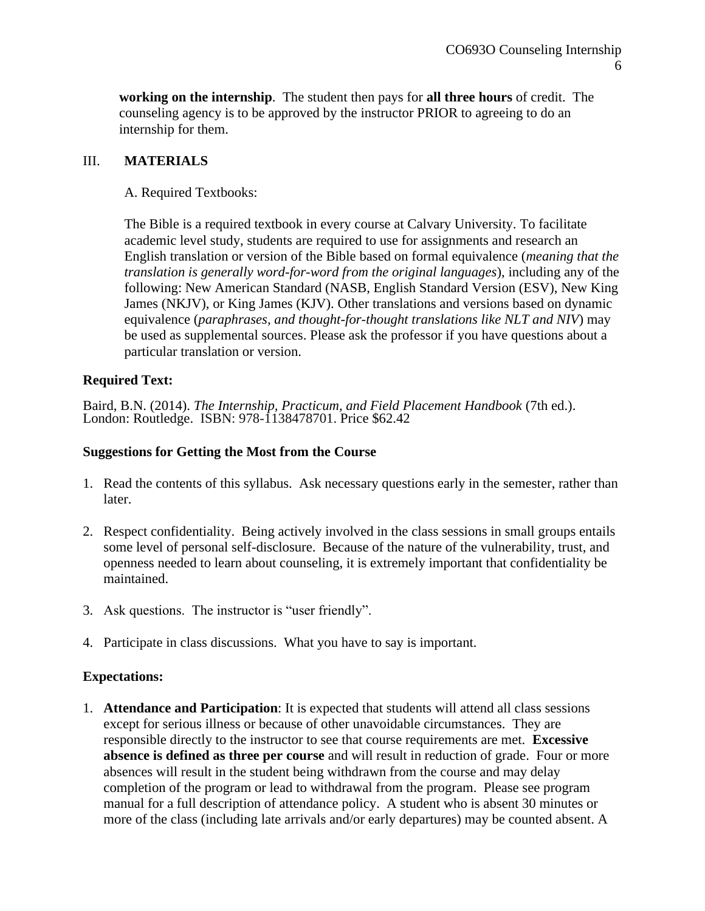**working on the internship**. The student then pays for **all three hours** of credit. The counseling agency is to be approved by the instructor PRIOR to agreeing to do an internship for them.

## III. **MATERIALS**

## A. Required Textbooks:

The Bible is a required textbook in every course at Calvary University. To facilitate academic level study, students are required to use for assignments and research an English translation or version of the Bible based on formal equivalence (*meaning that the translation is generally word-for-word from the original languages*), including any of the following: New American Standard (NASB, English Standard Version (ESV), New King James (NKJV), or King James (KJV). Other translations and versions based on dynamic equivalence (*paraphrases, and thought-for-thought translations like NLT and NIV*) may be used as supplemental sources. Please ask the professor if you have questions about a particular translation or version.

## **Required Text:**

Baird, B.N. (2014). *The Internship, Practicum, and Field Placement Handbook* (7th ed.). London: Routledge. ISBN: 978-1138478701. Price \$62.42

#### **Suggestions for Getting the Most from the Course**

- 1. Read the contents of this syllabus. Ask necessary questions early in the semester, rather than later.
- 2. Respect confidentiality. Being actively involved in the class sessions in small groups entails some level of personal self-disclosure. Because of the nature of the vulnerability, trust, and openness needed to learn about counseling, it is extremely important that confidentiality be maintained.
- 3. Ask questions. The instructor is "user friendly".
- 4. Participate in class discussions. What you have to say is important.

#### **Expectations:**

1. **Attendance and Participation**: It is expected that students will attend all class sessions except for serious illness or because of other unavoidable circumstances. They are responsible directly to the instructor to see that course requirements are met. **Excessive absence is defined as three per course** and will result in reduction of grade. Four or more absences will result in the student being withdrawn from the course and may delay completion of the program or lead to withdrawal from the program. Please see program manual for a full description of attendance policy. A student who is absent 30 minutes or more of the class (including late arrivals and/or early departures) may be counted absent. A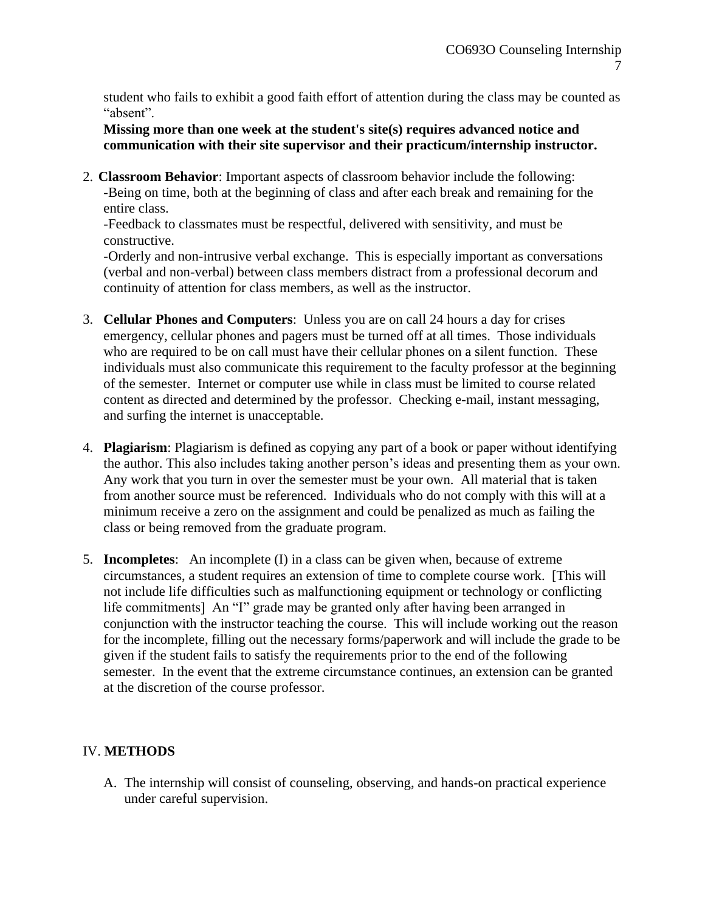student who fails to exhibit a good faith effort of attention during the class may be counted as "absent".

**Missing more than one week at the student's site(s) requires advanced notice and communication with their site supervisor and their practicum/internship instructor.**

2. **Classroom Behavior**: Important aspects of classroom behavior include the following: -Being on time, both at the beginning of class and after each break and remaining for the entire class.

-Feedback to classmates must be respectful, delivered with sensitivity, and must be constructive.

-Orderly and non-intrusive verbal exchange. This is especially important as conversations (verbal and non-verbal) between class members distract from a professional decorum and continuity of attention for class members, as well as the instructor.

- 3. **Cellular Phones and Computers**: Unless you are on call 24 hours a day for crises emergency, cellular phones and pagers must be turned off at all times. Those individuals who are required to be on call must have their cellular phones on a silent function. These individuals must also communicate this requirement to the faculty professor at the beginning of the semester. Internet or computer use while in class must be limited to course related content as directed and determined by the professor. Checking e-mail, instant messaging, and surfing the internet is unacceptable.
- 4. **Plagiarism**: Plagiarism is defined as copying any part of a book or paper without identifying the author. This also includes taking another person's ideas and presenting them as your own. Any work that you turn in over the semester must be your own. All material that is taken from another source must be referenced. Individuals who do not comply with this will at a minimum receive a zero on the assignment and could be penalized as much as failing the class or being removed from the graduate program.
- 5. **Incompletes**: An incomplete (I) in a class can be given when, because of extreme circumstances, a student requires an extension of time to complete course work. [This will not include life difficulties such as malfunctioning equipment or technology or conflicting life commitments] An "I" grade may be granted only after having been arranged in conjunction with the instructor teaching the course. This will include working out the reason for the incomplete, filling out the necessary forms/paperwork and will include the grade to be given if the student fails to satisfy the requirements prior to the end of the following semester. In the event that the extreme circumstance continues, an extension can be granted at the discretion of the course professor.

## IV. **METHODS**

A. The internship will consist of counseling, observing, and hands-on practical experience under careful supervision.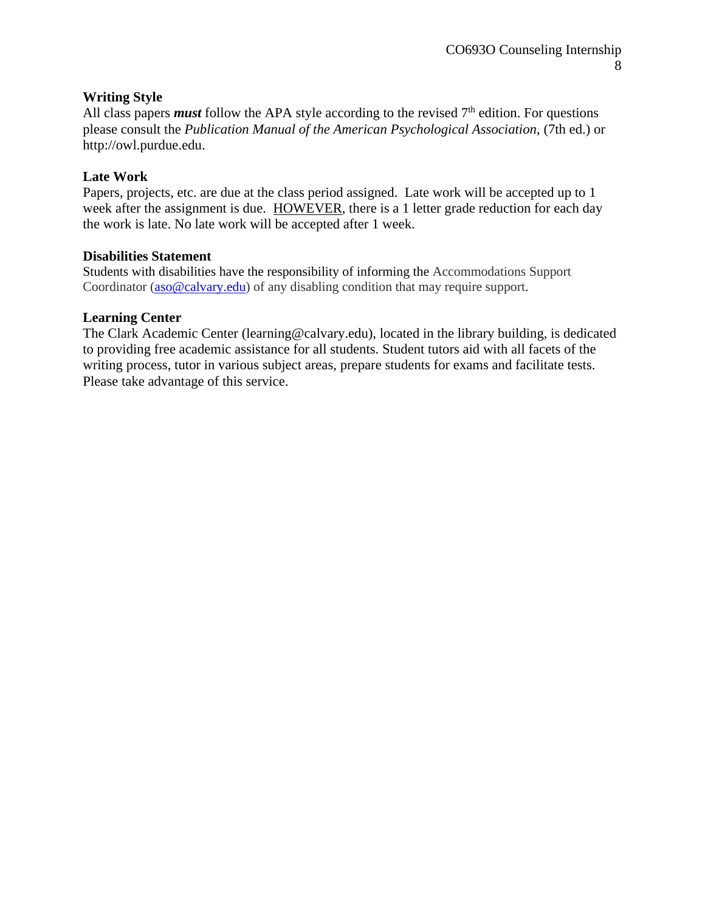## **Writing Style**

All class papers *must* follow the APA style according to the revised  $7<sup>th</sup>$  edition. For questions please consult the *Publication Manual of the American Psychological Association*, (7th ed.) or http://owl.purdue.edu.

## **Late Work**

Papers, projects, etc. are due at the class period assigned. Late work will be accepted up to 1 week after the assignment is due. HOWEVER, there is a 1 letter grade reduction for each day the work is late. No late work will be accepted after 1 week.

#### **Disabilities Statement**

Students with disabilities have the responsibility of informing the Accommodations Support Coordinator [\(aso@calvary.edu\)](mailto:aso@calvary.edu) of any disabling condition that may require support.

#### **Learning Center**

The Clark Academic Center (learning@calvary.edu), located in the library building, is dedicated to providing free academic assistance for all students. Student tutors aid with all facets of the writing process, tutor in various subject areas, prepare students for exams and facilitate tests. Please take advantage of this service.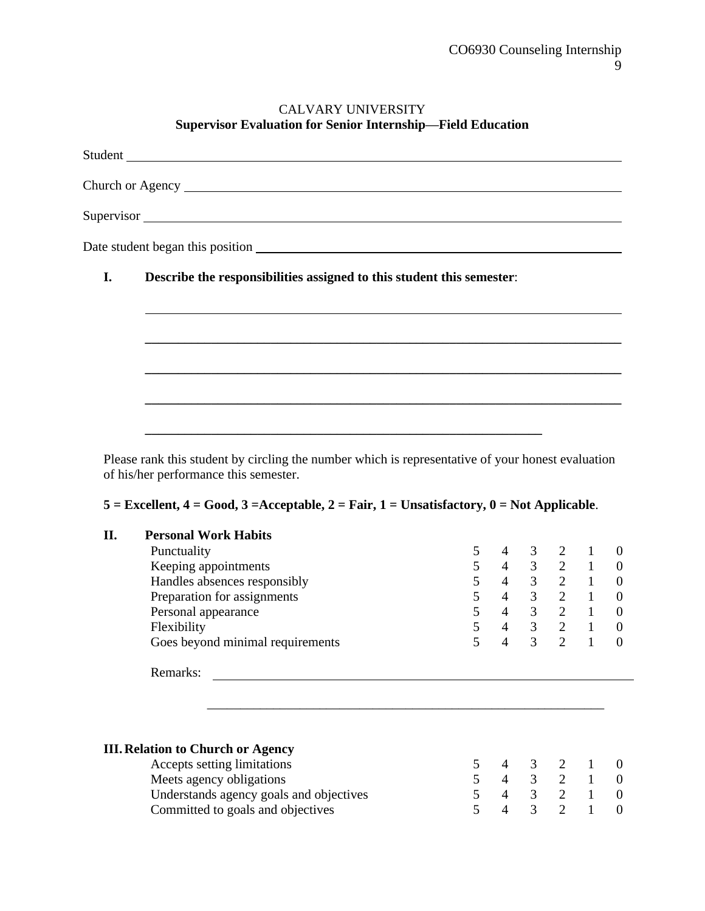#### CALVARY UNIVERSITY **Supervisor Evaluation for Senior Internship—Field Education**

Student Church or Agency Supervisor and the state of the state of the state of the state of the state of the state of the state of the state of the state of the state of the state of the state of the state of the state of the state of the state of Date student began this position example of the student began this position **I. Describe the responsibilities assigned to this student this semester**: **\_\_\_\_\_\_\_\_\_\_\_\_\_\_\_\_\_\_\_\_\_\_\_\_\_\_\_\_\_\_\_\_\_\_\_\_\_\_\_\_\_\_\_\_\_\_\_\_\_\_\_\_\_\_\_\_\_\_\_\_\_\_\_\_\_\_\_\_\_\_\_\_ \_\_\_\_\_\_\_\_\_\_\_\_\_\_\_\_\_\_\_\_\_\_\_\_\_\_\_\_\_\_\_\_\_\_\_\_\_\_\_\_\_\_\_\_\_\_\_\_\_\_\_\_\_\_\_\_\_\_\_\_\_\_\_\_\_\_\_\_\_\_\_\_ \_\_\_\_\_\_\_\_\_\_\_\_\_\_\_\_\_\_\_\_\_\_\_\_\_\_\_\_\_\_\_\_\_\_\_\_\_\_\_\_\_\_\_\_\_\_\_\_\_\_\_\_\_\_\_\_\_\_\_\_\_\_\_\_\_\_\_\_\_\_\_\_ \_\_\_\_\_\_\_\_\_\_\_\_\_\_\_\_\_\_\_\_\_\_\_\_\_\_\_\_\_\_\_\_\_\_\_\_\_\_\_\_\_\_\_\_\_\_\_\_\_\_\_\_\_\_\_\_\_\_\_\_**

Please rank this student by circling the number which is representative of your honest evaluation of his/her performance this semester.

#### **5 = Excellent, 4 = Good, 3 =Acceptable, 2 = Fair, 1 = Unsatisfactory, 0 = Not Applicable**.

| П. | <b>Personal Work Habits</b>                                       |            |                 |                |               |                                                              |                |
|----|-------------------------------------------------------------------|------------|-----------------|----------------|---------------|--------------------------------------------------------------|----------------|
|    | Punctuality                                                       | 5          | 4               |                | $3 \t 2 \t 1$ |                                                              | 0              |
|    | Keeping appointments                                              | 5          |                 |                |               | $4 \t 3 \t 2 \t 1$                                           | $\mathbf{0}$   |
|    | Handles absences responsibly                                      | 5          | $4\overline{ }$ |                | $3 \t 2 \t 1$ |                                                              | $\overline{0}$ |
|    | Preparation for assignments                                       | 5          | $\overline{4}$  |                | $3 \t 2 \t 1$ |                                                              | $\theta$       |
|    | Personal appearance                                               | 5          | $4 \quad$       |                | $3 \t 2 \t 1$ |                                                              | $\theta$       |
|    | Flexibility                                                       | 5          |                 |                |               | $\begin{matrix} 4 & 3 & 2 & 1 \\ 4 & 2 & 2 & 1 \end{matrix}$ | $\theta$       |
|    | Goes beyond minimal requirements                                  | 5          | $\overline{4}$  | $\overline{3}$ |               | $\overline{2}$ 1                                             | $\theta$       |
|    | Remarks:                                                          |            |                 |                |               |                                                              |                |
|    |                                                                   |            |                 |                |               |                                                              |                |
|    |                                                                   |            |                 |                |               |                                                              |                |
|    | <b>III. Relation to Church or Agency</b><br>According limitations | $\epsilon$ | $\overline{A}$  | $\Omega$       | $\Omega$      | $\blacksquare$                                               | $\Omega$       |

| Accepts setting limitations             |  | 5 4 3 2 1 0 |  |
|-----------------------------------------|--|-------------|--|
| Meets agency obligations                |  | 5 4 3 2 1 0 |  |
| Understands agency goals and objectives |  | 5 4 3 2 1 0 |  |
| Committed to goals and objectives       |  | 5 4 3 2 1 0 |  |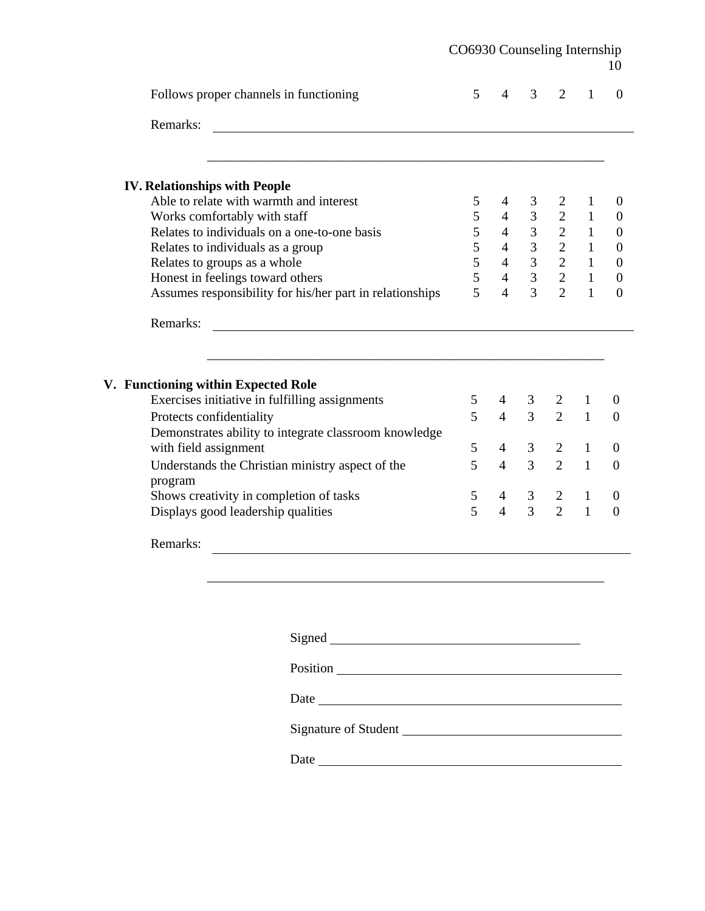|                                                             | CO6930 Counseling Internship |                |                |                |              | 10               |
|-------------------------------------------------------------|------------------------------|----------------|----------------|----------------|--------------|------------------|
| Follows proper channels in functioning                      | 5                            | $\overline{4}$ | 3              | $\overline{2}$ | 1            | $\overline{0}$   |
| Remarks:                                                    |                              |                |                |                |              |                  |
| <b>IV. Relationships with People</b>                        |                              |                |                |                |              |                  |
| Able to relate with warmth and interest                     | 5                            | 4              | 3              | 2              | $\mathbf{1}$ | $\boldsymbol{0}$ |
| Works comfortably with staff                                | 5                            | $\overline{4}$ | 3              | $\overline{2}$ | $\mathbf{1}$ | $\boldsymbol{0}$ |
| Relates to individuals on a one-to-one basis                | 5                            | $\overline{4}$ | $\overline{3}$ | $\overline{2}$ | $\mathbf{1}$ | $\overline{0}$   |
| Relates to individuals as a group                           | 5                            | $\overline{4}$ | $\overline{3}$ | $\overline{2}$ | $\mathbf{1}$ | $\overline{0}$   |
| Relates to groups as a whole                                | 5                            | $\overline{4}$ | $\overline{3}$ | $\overline{2}$ | $\mathbf{1}$ | $\overline{0}$   |
| Honest in feelings toward others                            | 5                            | $\overline{4}$ | $\overline{3}$ | $\overline{2}$ | $\mathbf{1}$ | $\boldsymbol{0}$ |
| Assumes responsibility for his/her part in relationships    | 5                            | $\overline{4}$ | 3              | $\overline{2}$ | $\mathbf{1}$ | $\overline{0}$   |
| Remarks:                                                    |                              |                |                |                |              |                  |
| V. Functioning within Expected Role                         |                              |                |                |                |              |                  |
| Exercises initiative in fulfilling assignments              | 5                            | $\overline{4}$ | 3              | 2              | $\mathbf{1}$ | $\boldsymbol{0}$ |
| Protects confidentiality                                    | 5                            | $\overline{4}$ | $\overline{3}$ | $\overline{2}$ | $\mathbf{1}$ | $\overline{0}$   |
| Demonstrates ability to integrate classroom knowledge       |                              |                |                |                |              |                  |
| with field assignment                                       | 5                            | $\overline{4}$ | 3              | $\overline{2}$ | $\mathbf{1}$ | $\overline{0}$   |
| Understands the Christian ministry aspect of the<br>program | 5                            | $\overline{4}$ | $\overline{3}$ | $\overline{2}$ | $\mathbf{1}$ | $\overline{0}$   |
| Shows creativity in completion of tasks                     | 5                            | $\overline{4}$ | 3              | $\overline{2}$ | $\mathbf{1}$ | $\overline{0}$   |
| Displays good leadership qualities                          | 5                            | $\overline{4}$ | $\overline{3}$ | $\overline{2}$ | $\mathbf{1}$ | $\theta$         |
| Remarks:                                                    |                              |                |                |                |              |                  |
|                                                             |                              |                |                |                |              |                  |
|                                                             |                              |                |                |                |              |                  |
|                                                             |                              |                |                |                |              |                  |

Signed

Position

Date

Signature of Student

Date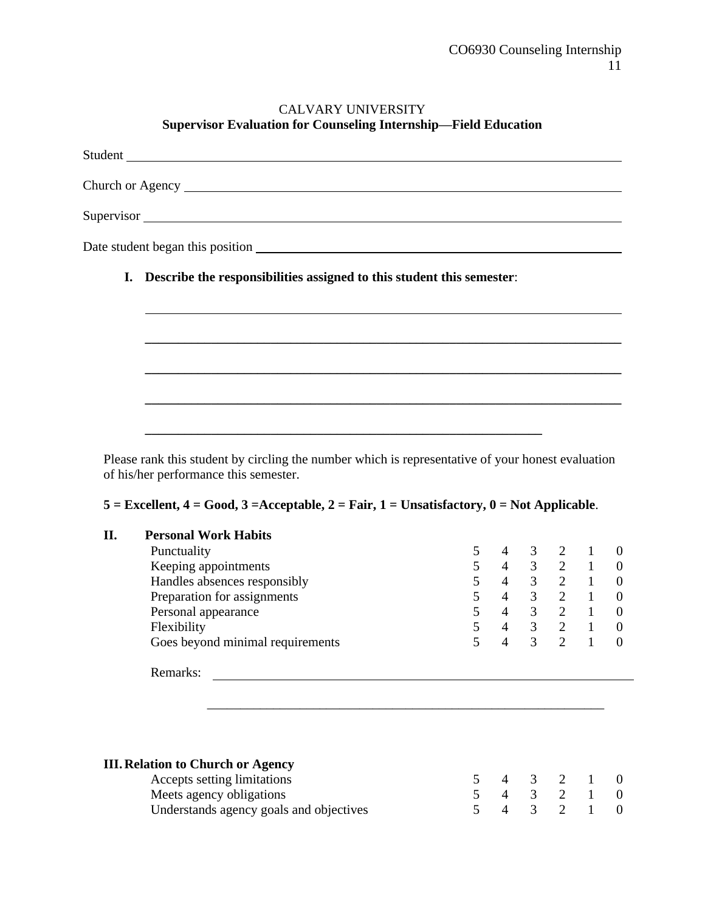## CALVARY UNIVERSITY **Supervisor Evaluation for Counseling Internship—Field Education**

| Student                                                                  |
|--------------------------------------------------------------------------|
|                                                                          |
| Supervisor                                                               |
|                                                                          |
| I. Describe the responsibilities assigned to this student this semester: |
|                                                                          |
|                                                                          |
|                                                                          |
|                                                                          |
|                                                                          |
|                                                                          |

Please rank this student by circling the number which is representative of your honest evaluation of his/her performance this semester.

## **5 = Excellent, 4 = Good, 3 =Acceptable, 2 = Fair, 1 = Unsatisfactory, 0 = Not Applicable**.

| <b>Personal Work Habits</b>      |                |   |                             |  |
|----------------------------------|----------------|---|-----------------------------|--|
| Punctuality                      | $\overline{4}$ | 3 | 2                           |  |
| Keeping appointments             |                | 3 | $\mathcal{D}$               |  |
| Handles absences responsibly     | 4              | 3 | $\mathcal{D}$               |  |
| Preparation for assignments      | 4              | 3 | $\mathcal{D}_{\mathcal{A}}$ |  |
| Personal appearance              | 4              | 3 | $\mathcal{D}$               |  |
| Flexibility                      | 4              | 3 | $\mathcal{D}$               |  |
| Goes beyond minimal requirements | 4              | 3 | $\gamma$                    |  |
| Remarks:                         |                |   |                             |  |

| <b>III. Relation to Church or Agency</b> |  |             |  |
|------------------------------------------|--|-------------|--|
| Accepts setting limitations              |  | 5 4 3 2 1 0 |  |
| Meets agency obligations                 |  | 5 4 3 2 1 0 |  |
| Understands agency goals and objectives  |  | 5 4 3 2 1 0 |  |

\_\_\_\_\_\_\_\_\_\_\_\_\_\_\_\_\_\_\_\_\_\_\_\_\_\_\_\_\_\_\_\_\_\_\_\_\_\_\_\_\_\_\_\_\_\_\_\_\_\_\_\_\_\_\_\_\_\_\_\_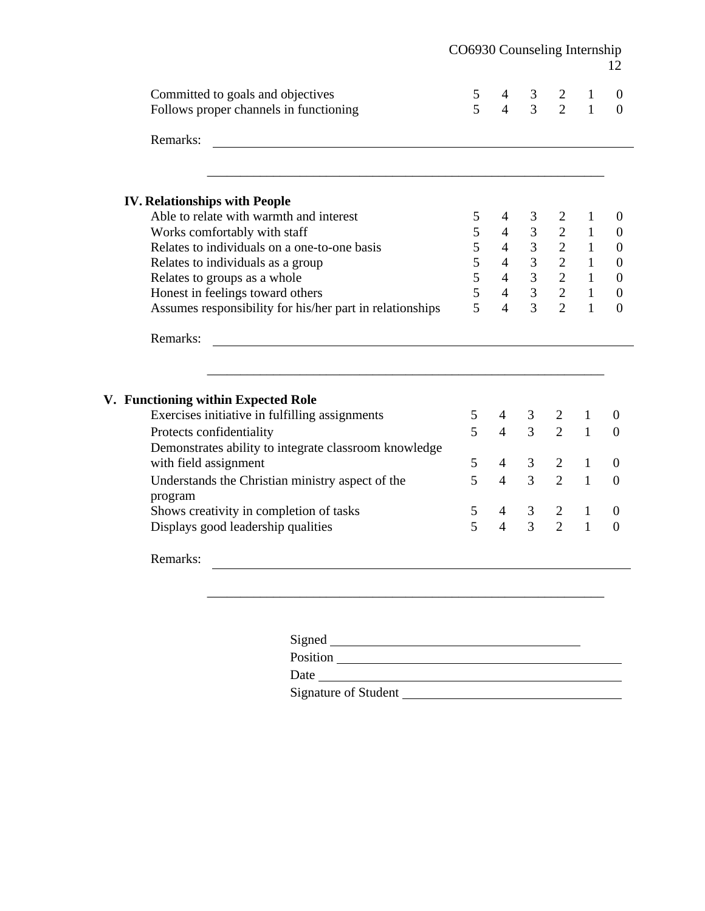|                                                                             | CO6930 Counseling Internship |                     |                                  |                     |                              | 12                                   |
|-----------------------------------------------------------------------------|------------------------------|---------------------|----------------------------------|---------------------|------------------------------|--------------------------------------|
| Committed to goals and objectives<br>Follows proper channels in functioning | 5<br>5                       | 4<br>$\overline{4}$ | 3 <sup>7</sup><br>$\overline{3}$ | 2<br>$\overline{2}$ | $\mathbf{1}$<br>$\mathbf{1}$ | $\boldsymbol{0}$<br>$\boldsymbol{0}$ |
|                                                                             |                              |                     |                                  |                     |                              |                                      |
| Remarks:                                                                    |                              |                     |                                  |                     |                              |                                      |
| <b>IV. Relationships with People</b>                                        |                              |                     |                                  |                     |                              |                                      |
| Able to relate with warmth and interest                                     | 5                            | 4                   | 3                                | 2                   | $\mathbf{1}$                 | $\boldsymbol{0}$                     |
| Works comfortably with staff                                                | 5                            | $\overline{4}$      | $\overline{3}$                   | $\overline{2}$      | $\mathbf{1}$                 | $\boldsymbol{0}$                     |
| Relates to individuals on a one-to-one basis                                | 5                            | $\overline{4}$      | $\overline{3}$                   | $\overline{2}$      | $\mathbf{1}$                 | $\boldsymbol{0}$                     |
| Relates to individuals as a group                                           | 5                            | $\overline{4}$      | 3 <sup>7</sup>                   | $\overline{2}$      | $\mathbf{1}$                 | $\boldsymbol{0}$                     |
| Relates to groups as a whole                                                | 5                            | $\overline{4}$      | 3 <sup>1</sup>                   | $\overline{2}$      | $\mathbf{1}$                 | $\boldsymbol{0}$                     |
| Honest in feelings toward others                                            | 5                            | $\overline{4}$      | $\overline{3}$                   | $\overline{2}$      | $\mathbf{1}$                 | $\boldsymbol{0}$                     |
| Assumes responsibility for his/her part in relationships                    | 5                            | $\overline{4}$      | $\overline{3}$                   | $\overline{2}$      | $\mathbf{1}$                 | $\mathbf{0}$                         |
| Remarks:                                                                    |                              |                     |                                  |                     |                              |                                      |
| V. Functioning within Expected Role                                         |                              |                     |                                  |                     |                              |                                      |
| Exercises initiative in fulfilling assignments                              | 5                            | $\overline{4}$      | 3                                | 2                   | 1                            | $\boldsymbol{0}$                     |
| Protects confidentiality                                                    | 5                            | $\overline{4}$      | $\overline{3}$                   | $\overline{2}$      | $\mathbf{1}$                 | $\boldsymbol{0}$                     |
| Demonstrates ability to integrate classroom knowledge                       |                              |                     |                                  |                     |                              |                                      |
| with field assignment                                                       | 5                            | $\overline{4}$      | 3                                | $\overline{2}$      | $\mathbf{1}$                 | $\theta$                             |
| Understands the Christian ministry aspect of the<br>program                 | 5                            | $\overline{4}$      | 3                                | $\overline{2}$      | $\mathbf{1}$                 | $\boldsymbol{0}$                     |
| Shows creativity in completion of tasks                                     | 5                            | $\overline{4}$      | 3                                | 2                   | $\mathbf{1}$                 | $\boldsymbol{0}$                     |
| Displays good leadership qualities                                          | 5                            | $\overline{4}$      | $\overline{3}$                   | $\overline{2}$      | $\mathbf{1}$                 | $\overline{0}$                       |
| Remarks:                                                                    |                              |                     |                                  |                     |                              |                                      |
|                                                                             |                              |                     |                                  |                     |                              |                                      |
|                                                                             |                              |                     |                                  |                     |                              |                                      |
| Signed                                                                      |                              |                     |                                  |                     |                              |                                      |

Position

Date

Signature of Student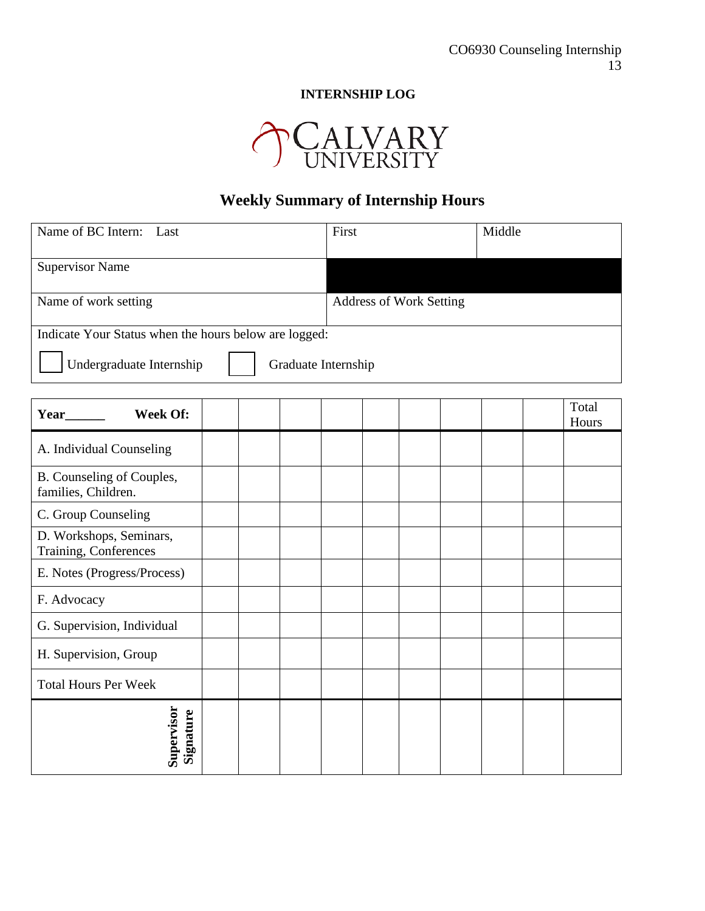# **INTERNSHIP LOG**



# **Weekly Summary of Internship Hours**

| Name of BC Intern:<br>Last                            |  |  |  | First               |                                | Middle |                |
|-------------------------------------------------------|--|--|--|---------------------|--------------------------------|--------|----------------|
| <b>Supervisor Name</b>                                |  |  |  |                     |                                |        |                |
| Name of work setting                                  |  |  |  |                     | <b>Address of Work Setting</b> |        |                |
| Indicate Your Status when the hours below are logged: |  |  |  |                     |                                |        |                |
| Undergraduate Internship                              |  |  |  | Graduate Internship |                                |        |                |
| <b>Week Of:</b>                                       |  |  |  |                     |                                |        | Total<br>Hours |
| A. Individual Counseling                              |  |  |  |                     |                                |        |                |
| B. Counseling of Couples,<br>families, Children.      |  |  |  |                     |                                |        |                |
| C. Group Counseling                                   |  |  |  |                     |                                |        |                |
| D. Workshops, Seminars,<br>Training, Conferences      |  |  |  |                     |                                |        |                |
| E. Notes (Progress/Process)                           |  |  |  |                     |                                |        |                |
| F. Advocacy                                           |  |  |  |                     |                                |        |                |
| G. Supervision, Individual                            |  |  |  |                     |                                |        |                |
| H. Supervision, Group                                 |  |  |  |                     |                                |        |                |
| <b>Total Hours Per Week</b>                           |  |  |  |                     |                                |        |                |
| Supervisor<br>Signature                               |  |  |  |                     |                                |        |                |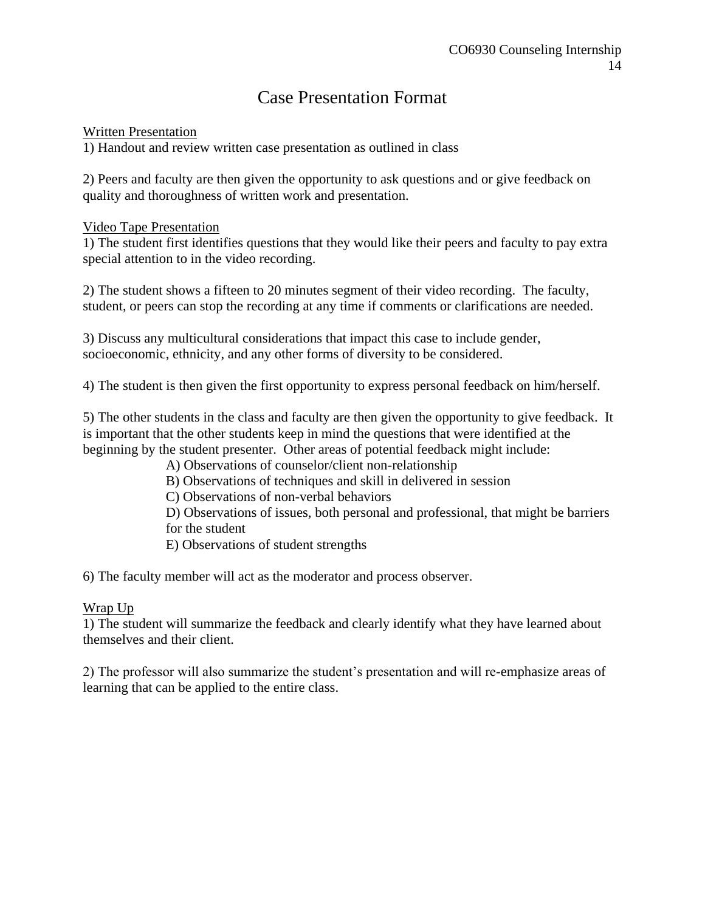# Case Presentation Format

## Written Presentation

1) Handout and review written case presentation as outlined in class

2) Peers and faculty are then given the opportunity to ask questions and or give feedback on quality and thoroughness of written work and presentation.

## Video Tape Presentation

1) The student first identifies questions that they would like their peers and faculty to pay extra special attention to in the video recording.

2) The student shows a fifteen to 20 minutes segment of their video recording. The faculty, student, or peers can stop the recording at any time if comments or clarifications are needed.

3) Discuss any multicultural considerations that impact this case to include gender, socioeconomic, ethnicity, and any other forms of diversity to be considered.

4) The student is then given the first opportunity to express personal feedback on him/herself.

5) The other students in the class and faculty are then given the opportunity to give feedback. It is important that the other students keep in mind the questions that were identified at the beginning by the student presenter. Other areas of potential feedback might include:

A) Observations of counselor/client non-relationship

- B) Observations of techniques and skill in delivered in session
- C) Observations of non-verbal behaviors

D) Observations of issues, both personal and professional, that might be barriers for the student

E) Observations of student strengths

6) The faculty member will act as the moderator and process observer.

## Wrap Up

1) The student will summarize the feedback and clearly identify what they have learned about themselves and their client.

2) The professor will also summarize the student's presentation and will re-emphasize areas of learning that can be applied to the entire class.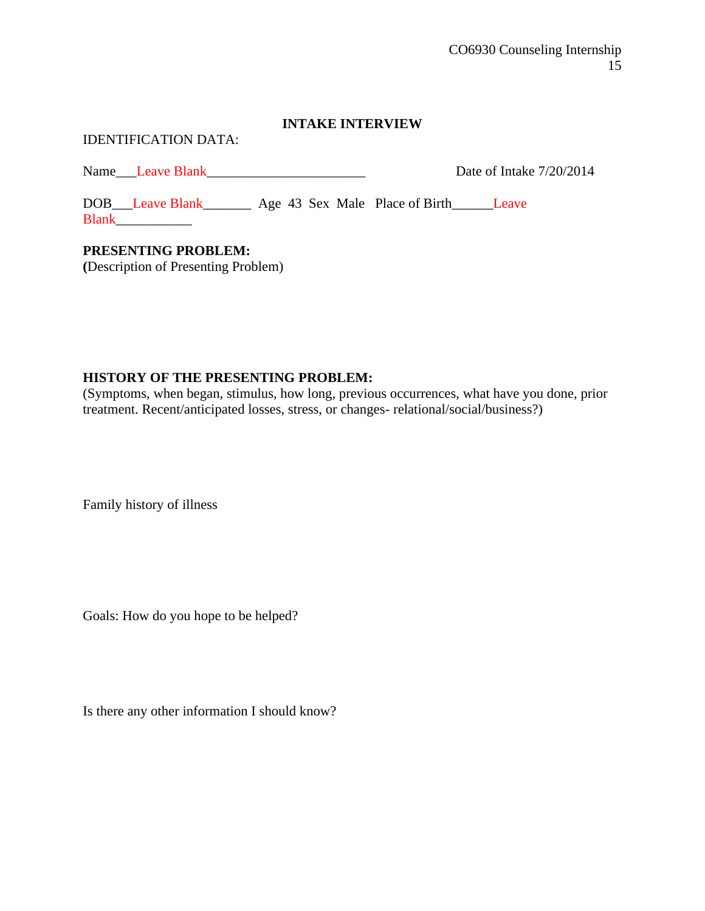#### **INTAKE INTERVIEW**

#### IDENTIFICATION DATA:

Name Leave Blank Leave Blank Date of Intake 7/20/2014

DOB\_\_\_Leave Blank\_\_\_\_\_\_\_\_ Age 43 Sex Male Place of Birth\_\_\_\_\_\_Leave Blank\_\_\_\_\_\_\_\_\_\_\_

# **PRESENTING PROBLEM:**

**(**Description of Presenting Problem)

## **HISTORY OF THE PRESENTING PROBLEM:**

(Symptoms, when began, stimulus, how long, previous occurrences, what have you done, prior treatment. Recent/anticipated losses, stress, or changes- relational/social/business?)

Family history of illness

Goals: How do you hope to be helped?

Is there any other information I should know?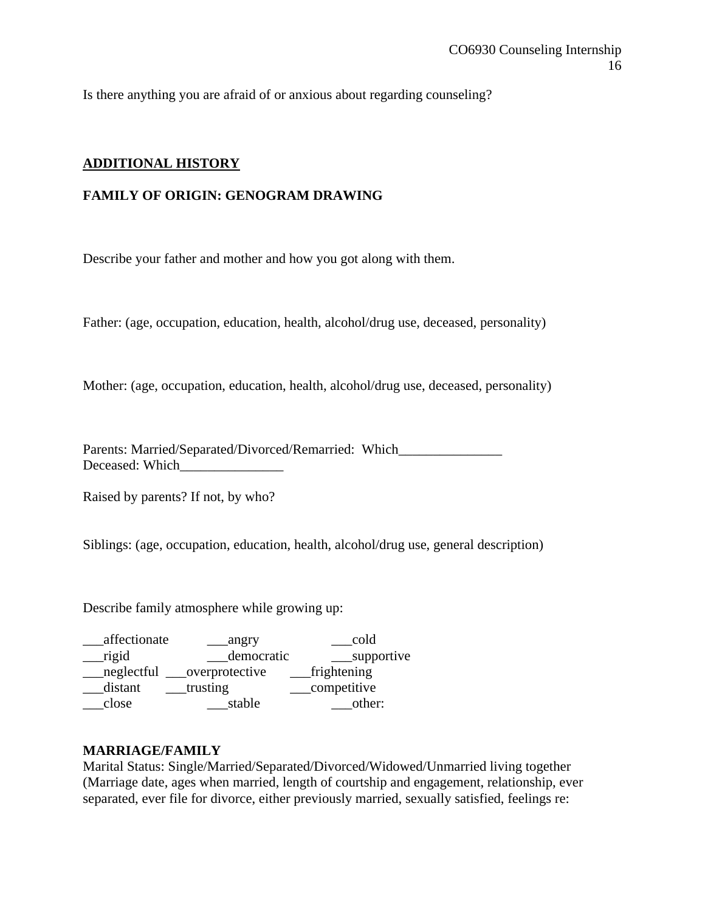Is there anything you are afraid of or anxious about regarding counseling?

## **ADDITIONAL HISTORY**

## **FAMILY OF ORIGIN: GENOGRAM DRAWING**

Describe your father and mother and how you got along with them.

Father: (age, occupation, education, health, alcohol/drug use, deceased, personality)

Mother: (age, occupation, education, health, alcohol/drug use, deceased, personality)

Parents: Married/Separated/Divorced/Remarried: Which Deceased: Which

Raised by parents? If not, by who?

Siblings: (age, occupation, education, health, alcohol/drug use, general description)

Describe family atmosphere while growing up:

| affectionate | angry          | cold        |
|--------------|----------------|-------------|
| rigid        | democratic     | supportive  |
| neglectful   | overprotective | frightening |
| distant      | trusting       | competitive |
| close        | stable         | other:      |

#### **MARRIAGE/FAMILY**

Marital Status: Single/Married/Separated/Divorced/Widowed/Unmarried living together (Marriage date, ages when married, length of courtship and engagement, relationship, ever separated, ever file for divorce, either previously married, sexually satisfied, feelings re: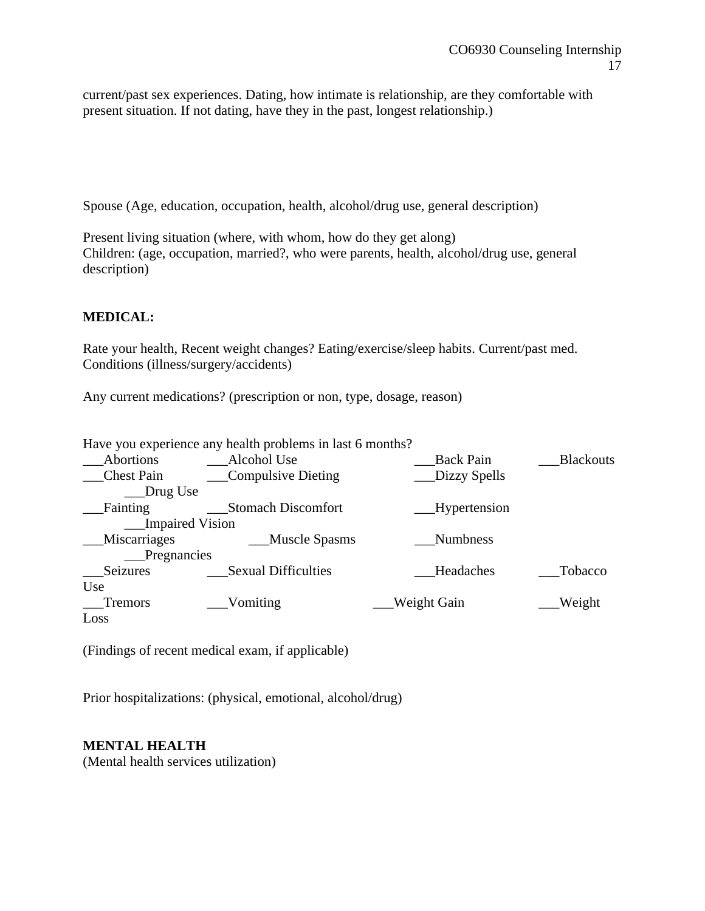current/past sex experiences. Dating, how intimate is relationship, are they comfortable with present situation. If not dating, have they in the past, longest relationship.)

Spouse (Age, education, occupation, health, alcohol/drug use, general description)

Present living situation (where, with whom, how do they get along) Children: (age, occupation, married?, who were parents, health, alcohol/drug use, general description)

## **MEDICAL:**

Rate your health, Recent weight changes? Eating/exercise/sleep habits. Current/past med. Conditions (illness/surgery/accidents)

Any current medications? (prescription or non, type, dosage, reason)

Have you experience any health problems in last 6 months? \_\_\_Abortions \_\_\_Alcohol Use \_\_\_Back Pain \_\_\_Blackouts \_\_\_Chest Pain \_\_\_Compulsive Dieting \_\_\_Dizzy Spells \_\_\_Drug Use Fainting Stomach Discomfort Hypertension \_\_\_Impaired Vision Miscarriages Muscle Spasms Mumbness \_\_\_Pregnancies Seizures Sexual Difficulties Headaches Tobacco Use \_\_\_Tremors \_\_\_Vomiting \_\_\_Weight Gain \_\_\_Weight Loss

(Findings of recent medical exam, if applicable)

Prior hospitalizations: (physical, emotional, alcohol/drug)

#### **MENTAL HEALTH**

(Mental health services utilization)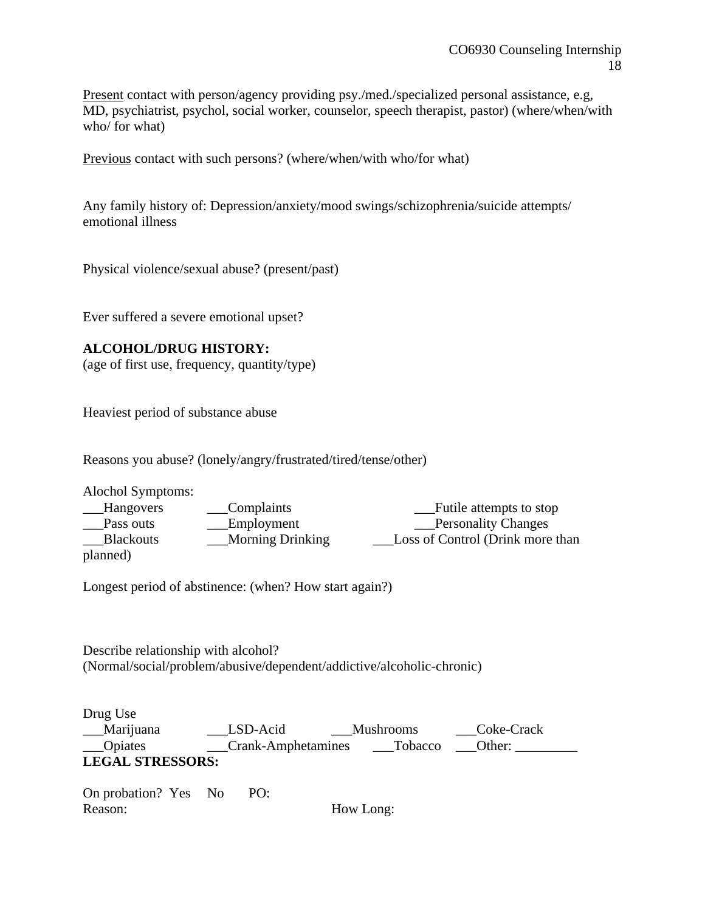Present contact with person/agency providing psy./med./specialized personal assistance, e.g, MD, psychiatrist, psychol, social worker, counselor, speech therapist, pastor) (where/when/with who/ for what)

Previous contact with such persons? (where/when/with who/for what)

Any family history of: Depression/anxiety/mood swings/schizophrenia/suicide attempts/ emotional illness

Physical violence/sexual abuse? (present/past)

Ever suffered a severe emotional upset?

## **ALCOHOL/DRUG HISTORY:**

(age of first use, frequency, quantity/type)

Heaviest period of substance abuse

Reasons you abuse? (lonely/angry/frustrated/tired/tense/other)

Alochol Symptoms:

| Hangovers        | Complaints              | Futile attempts to stop          |
|------------------|-------------------------|----------------------------------|
| Pass outs        | Employment              | <b>Personality Changes</b>       |
| <b>Blackouts</b> | <b>Morning Drinking</b> | Loss of Control (Drink more than |
| planned)         |                         |                                  |

Longest period of abstinence: (when? How start again?)

Describe relationship with alcohol? (Normal/social/problem/abusive/dependent/addictive/alcoholic-chronic)

Drug Use Marijuana LSD-Acid Mushrooms Coke-Crack \_\_\_Opiates \_\_\_Crank-Amphetamines \_\_\_Tobacco \_\_\_Other: \_\_\_\_\_\_\_\_\_ **LEGAL STRESSORS:**

On probation? Yes No PO: Reason: How Long: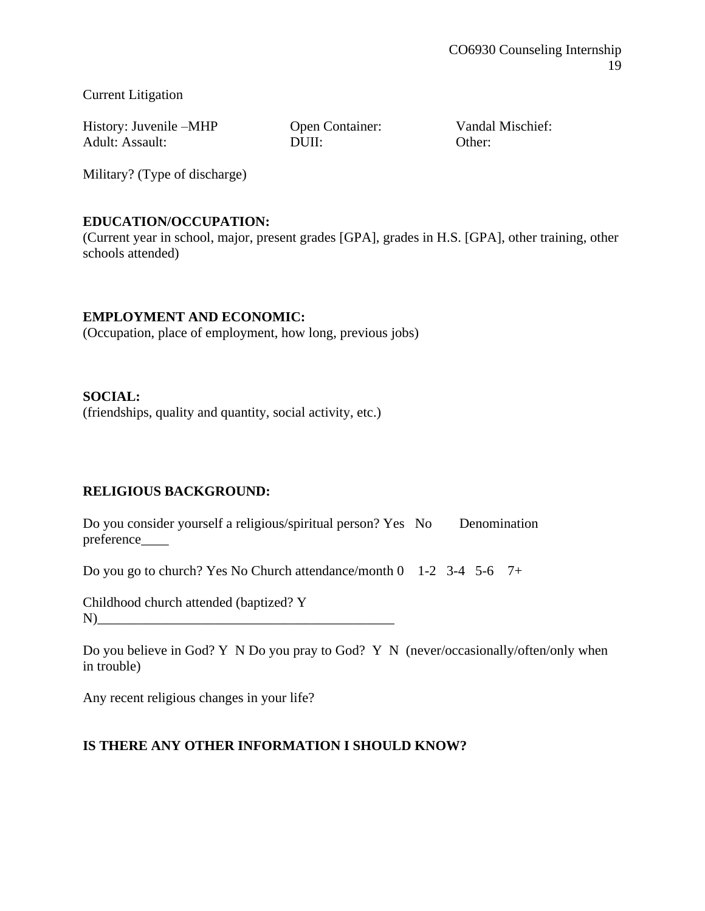Current Litigation

History: Juvenile –MHP Open Container: Vandal Mischief: Adult: Assault: DUII: Other:

Military? (Type of discharge)

## **EDUCATION/OCCUPATION:**

(Current year in school, major, present grades [GPA], grades in H.S. [GPA], other training, other schools attended)

## **EMPLOYMENT AND ECONOMIC:**

(Occupation, place of employment, how long, previous jobs)

## **SOCIAL:**

(friendships, quality and quantity, social activity, etc.)

## **RELIGIOUS BACKGROUND:**

Do you consider yourself a religious/spiritual person? Yes No Denomination preference\_\_\_\_

Do you go to church? Yes No Church attendance/month 0 1-2 3-4 5-6 7+

Childhood church attended (baptized? Y N)\_\_\_\_\_\_\_\_\_\_\_\_\_\_\_\_\_\_\_\_\_\_\_\_\_\_\_\_\_\_\_\_\_\_\_\_\_\_\_\_\_\_\_

Do you believe in God? Y N Do you pray to God? Y N (never/occasionally/often/only when in trouble)

Any recent religious changes in your life?

## **IS THERE ANY OTHER INFORMATION I SHOULD KNOW?**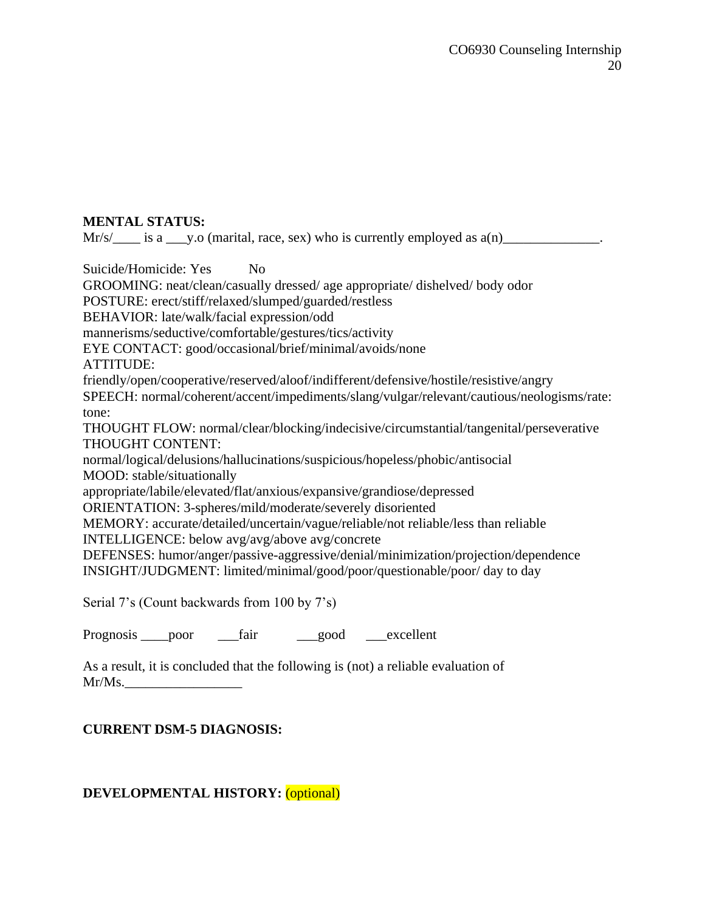## **MENTAL STATUS:**

 $Mr/s/$  is a \_\_\_y.o (marital, race, sex) who is currently employed as  $a(n)$ \_\_\_\_\_\_\_\_\_\_\_\_\_\_.

Suicide/Homicide: Yes No

GROOMING: neat/clean/casually dressed/ age appropriate/ dishelved/ body odor

POSTURE: erect/stiff/relaxed/slumped/guarded/restless

BEHAVIOR: late/walk/facial expression/odd

mannerisms/seductive/comfortable/gestures/tics/activity

EYE CONTACT: good/occasional/brief/minimal/avoids/none

ATTITUDE:

friendly/open/cooperative/reserved/aloof/indifferent/defensive/hostile/resistive/angry

SPEECH: normal/coherent/accent/impediments/slang/vulgar/relevant/cautious/neologisms/rate: tone:

THOUGHT FLOW: normal/clear/blocking/indecisive/circumstantial/tangenital/perseverative THOUGHT CONTENT:

normal/logical/delusions/hallucinations/suspicious/hopeless/phobic/antisocial MOOD: stable/situationally

appropriate/labile/elevated/flat/anxious/expansive/grandiose/depressed

ORIENTATION: 3-spheres/mild/moderate/severely disoriented

MEMORY: accurate/detailed/uncertain/vague/reliable/not reliable/less than reliable

INTELLIGENCE: below avg/avg/above avg/concrete

DEFENSES: humor/anger/passive-aggressive/denial/minimization/projection/dependence INSIGHT/JUDGMENT: limited/minimal/good/poor/questionable/poor/ day to day

Serial 7's (Count backwards from 100 by 7's)

Prognosis poor fair good excellent

As a result, it is concluded that the following is (not) a reliable evaluation of  $Mr/Ms$ .

**CURRENT DSM-5 DIAGNOSIS:**

## **DEVELOPMENTAL HISTORY:** (optional)